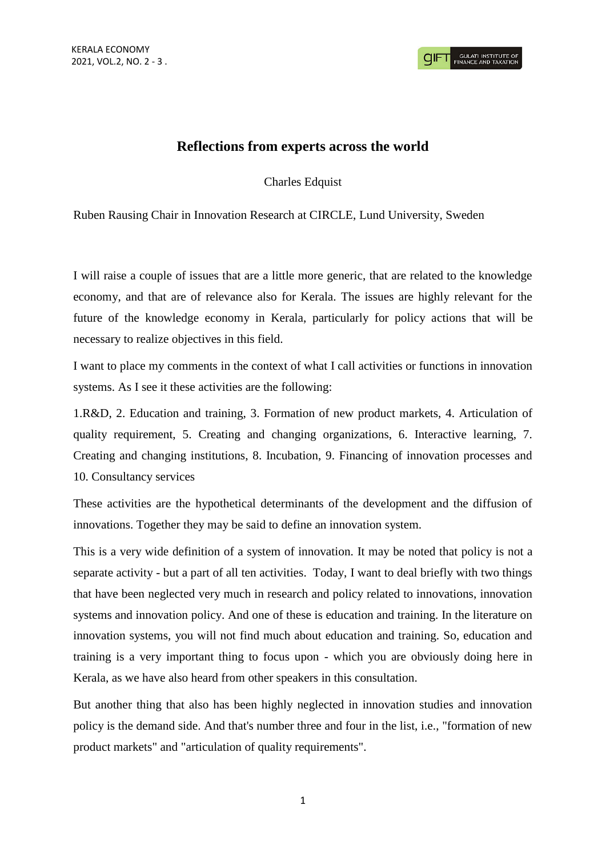## **Reflections from experts across the world**

Charles Edquist

Ruben Rausing Chair in Innovation Research at CIRCLE, Lund University, Sweden

I will raise a couple of issues that are a little more generic, that are related to the knowledge economy, and that are of relevance also for Kerala. The issues are highly relevant for the future of the knowledge economy in Kerala, particularly for policy actions that will be necessary to realize objectives in this field.

I want to place my comments in the context of what I call activities or functions in innovation systems. As I see it these activities are the following:

1.R&D, 2. Education and training, 3. Formation of new product markets, 4. Articulation of quality requirement, 5. Creating and changing organizations, 6. Interactive learning, 7. Creating and changing institutions, 8. Incubation, 9. Financing of innovation processes and 10. Consultancy services

These activities are the hypothetical determinants of the development and the diffusion of innovations. Together they may be said to define an innovation system.

This is a very wide definition of a system of innovation. It may be noted that policy is not a separate activity - but a part of all ten activities. Today, I want to deal briefly with two things that have been neglected very much in research and policy related to innovations, innovation systems and innovation policy. And one of these is education and training. In the literature on innovation systems, you will not find much about education and training. So, education and training is a very important thing to focus upon - which you are obviously doing here in Kerala, as we have also heard from other speakers in this consultation.

But another thing that also has been highly neglected in innovation studies and innovation policy is the demand side. And that's number three and four in the list, i.e., "formation of new product markets" and "articulation of quality requirements".